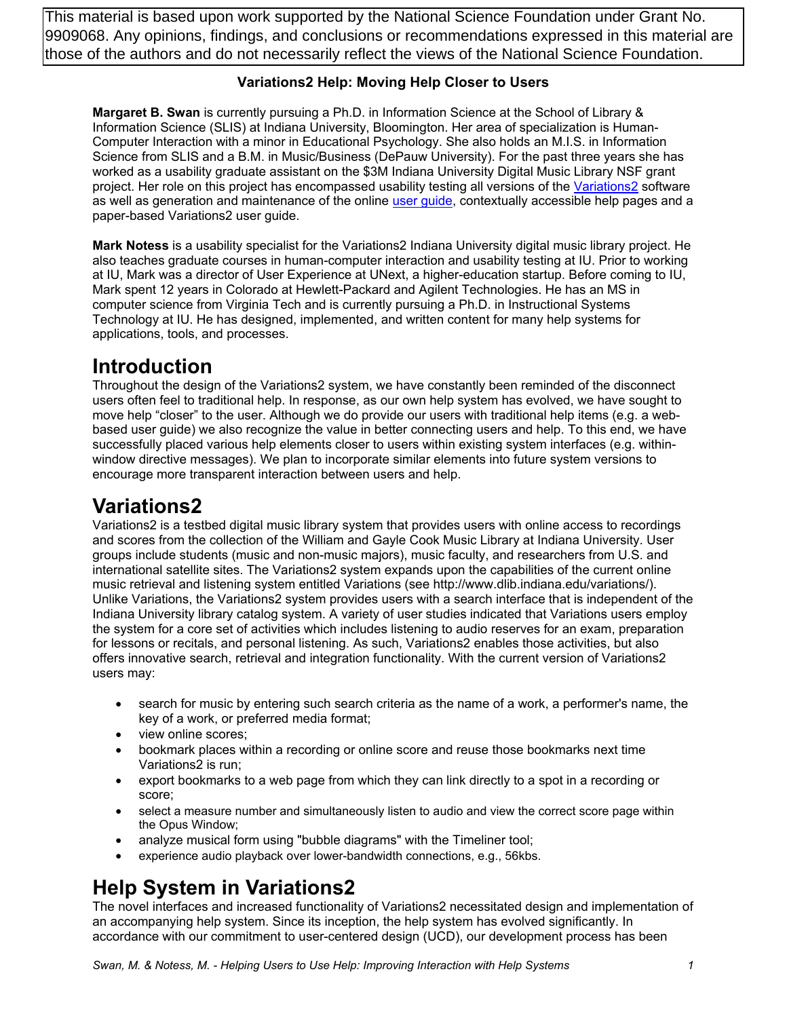This material is based upon work supported by the National Science Foundation under Grant No. 9909068. Any opinions, findings, and conclusions or recommendations expressed in this material are those of the authors and do not necessarily reflect the views of the National Science Foundation.

#### **Variations2 Help: Moving Help Closer to Users**

**Margaret B. Swan** is currently pursuing a Ph.D. in Information Science at the School of Library & Information Science (SLIS) at Indiana University, Bloomington. Her area of specialization is Human-Computer Interaction with a minor in Educational Psychology. She also holds an M.I.S. in Information Science from SLIS and a B.M. in Music/Business (DePauw University). For the past three years she has worked as a usability graduate assistant on the \$3M Indiana University Digital Music Library NSF grant project. Her role on this project has encompassed usability testing all versions of the Variations2 software as well as generation and maintenance of the online user guide, contextually accessible help pages and a paper-based Variations2 user guide.

**Mark Notess** is a usability specialist for the Variations2 Indiana University digital music library project. He also teaches graduate courses in human-computer interaction and usability testing at IU. Prior to working at IU, Mark was a director of User Experience at UNext, a higher-education startup. Before coming to IU, Mark spent 12 years in Colorado at Hewlett-Packard and Agilent Technologies. He has an MS in computer science from Virginia Tech and is currently pursuing a Ph.D. in Instructional Systems Technology at IU. He has designed, implemented, and written content for many help systems for applications, tools, and processes.

## **Introduction**

Throughout the design of the Variations2 system, we have constantly been reminded of the disconnect users often feel to traditional help. In response, as our own help system has evolved, we have sought to move help "closer" to the user. Although we do provide our users with traditional help items (e.g. a webbased user guide) we also recognize the value in better connecting users and help. To this end, we have successfully placed various help elements closer to users within existing system interfaces (e.g. withinwindow directive messages). We plan to incorporate similar elements into future system versions to encourage more transparent interaction between users and help.

## **Variations2**

Variations2 is a testbed digital music library system that provides users with online access to recordings and scores from the collection of the William and Gayle Cook Music Library at Indiana University. User groups include students (music and non-music majors), music faculty, and researchers from U.S. and international satellite sites. The Variations2 system expands upon the capabilities of the current online music retrieval and listening system entitled Variations (see http://www.dlib.indiana.edu/variations/). Unlike Variations, the Variations2 system provides users with a search interface that is independent of the Indiana University library catalog system. A variety of user studies indicated that Variations users employ the system for a core set of activities which includes listening to audio reserves for an exam, preparation for lessons or recitals, and personal listening. As such, Variations2 enables those activities, but also offers innovative search, retrieval and integration functionality. With the current version of Variations2 users may:

- search for music by entering such search criteria as the name of a work, a performer's name, the key of a work, or preferred media format;
- view online scores;
- bookmark places within a recording or online score and reuse those bookmarks next time Variations2 is run;
- export bookmarks to a web page from which they can link directly to a spot in a recording or score;
- select a measure number and simultaneously listen to audio and view the correct score page within the Opus Window;
- analyze musical form using "bubble diagrams" with the Timeliner tool;
- experience audio playback over lower-bandwidth connections, e.g., 56kbs.

# **Help System in Variations2**

The novel interfaces and increased functionality of Variations2 necessitated design and implementation of an accompanying help system. Since its inception, the help system has evolved significantly. In accordance with our commitment to user-centered design (UCD), our development process has been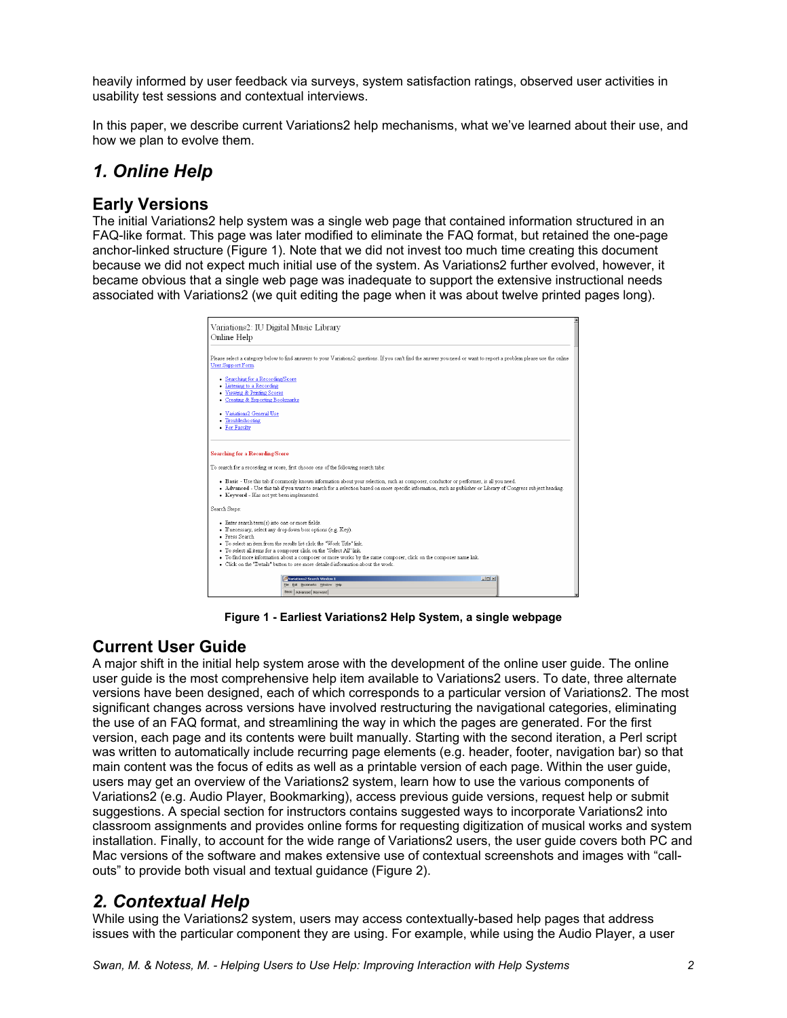heavily informed by user feedback via surveys, system satisfaction ratings, observed user activities in usability test sessions and contextual interviews.

In this paper, we describe current Variations2 help mechanisms, what we've learned about their use, and how we plan to evolve them.

### *1. Online Help*

#### **Early Versions**

The initial Variations2 help system was a single web page that contained information structured in an FAQ-like format. This page was later modified to eliminate the FAQ format, but retained the one-page anchor-linked structure (Figure 1). Note that we did not invest too much time creating this document because we did not expect much initial use of the system. As Variations2 further evolved, however, it became obvious that a single web page was inadequate to support the extensive instructional needs associated with Variations2 (we quit editing the page when it was about twelve printed pages long).

| Variations2: IU Digital Music Library<br>Online Help                                                                                                                                                                                                                                                                                                                                                                                                                                     |  |
|------------------------------------------------------------------------------------------------------------------------------------------------------------------------------------------------------------------------------------------------------------------------------------------------------------------------------------------------------------------------------------------------------------------------------------------------------------------------------------------|--|
| Please select a category below to find answers to your Variations2 questions. If you can't find the answer you need or want to report a problem please use the online<br><b>User Support Form</b>                                                                                                                                                                                                                                                                                        |  |
| • Searching for a Recording/Score<br>• Listening to a Recording<br>• Viewing & Printing Scores<br>• Creating & Exporting Bookmarks                                                                                                                                                                                                                                                                                                                                                       |  |
| • Variations2 General Use<br>· Troubleshooting<br>• For Faculty                                                                                                                                                                                                                                                                                                                                                                                                                          |  |
| <b>Searching for a Recording/Score</b>                                                                                                                                                                                                                                                                                                                                                                                                                                                   |  |
| To search for a recording or score, first choose one of the following search tabs:                                                                                                                                                                                                                                                                                                                                                                                                       |  |
| · Basic - Use this tab if commonly known information about your selection, such as composer, conductor or performer, is all you need.<br>. Advanced - Use this tab if you want to search for a selection based on more specific information, such as publisher or Library of Congress subject heading.<br>• Keyword - Has not yet been implemented.                                                                                                                                      |  |
| Search Steps:                                                                                                                                                                                                                                                                                                                                                                                                                                                                            |  |
| • Enter search term(s) into one or more fields.<br>· If necessary, select any dropdown box options (e.g. Key).<br>· Press Search<br>. To select an item from the results list click the "Work Title" link<br>. To select all items for a composer click on the "Select All" link.<br>· To find more information about a composer or more works by the same composer, click on the composer name link.<br>. Click on the "Details" button to see more detailed information about the work |  |
| $-101 \times$<br>22 Variations2 Search Window 1<br>File Edit Bookmarks Window Help<br>Basic   Advanced   Keyword                                                                                                                                                                                                                                                                                                                                                                         |  |

**Figure 1 - Earliest Variations2 Help System, a single webpage** 

### **Current User Guide**

A major shift in the initial help system arose with the development of the online user guide. The online user guide is the most comprehensive help item available to Variations2 users. To date, three alternate versions have been designed, each of which corresponds to a particular version of Variations2. The most significant changes across versions have involved restructuring the navigational categories, eliminating the use of an FAQ format, and streamlining the way in which the pages are generated. For the first version, each page and its contents were built manually. Starting with the second iteration, a Perl script was written to automatically include recurring page elements (e.g. header, footer, navigation bar) so that main content was the focus of edits as well as a printable version of each page. Within the user guide, users may get an overview of the Variations2 system, learn how to use the various components of Variations2 (e.g. Audio Player, Bookmarking), access previous guide versions, request help or submit suggestions. A special section for instructors contains suggested ways to incorporate Variations2 into classroom assignments and provides online forms for requesting digitization of musical works and system installation. Finally, to account for the wide range of Variations2 users, the user guide covers both PC and Mac versions of the software and makes extensive use of contextual screenshots and images with "callouts" to provide both visual and textual guidance (Figure 2).

### *2. Contextual Help*

While using the Variations2 system, users may access contextually-based help pages that address issues with the particular component they are using. For example, while using the Audio Player, a user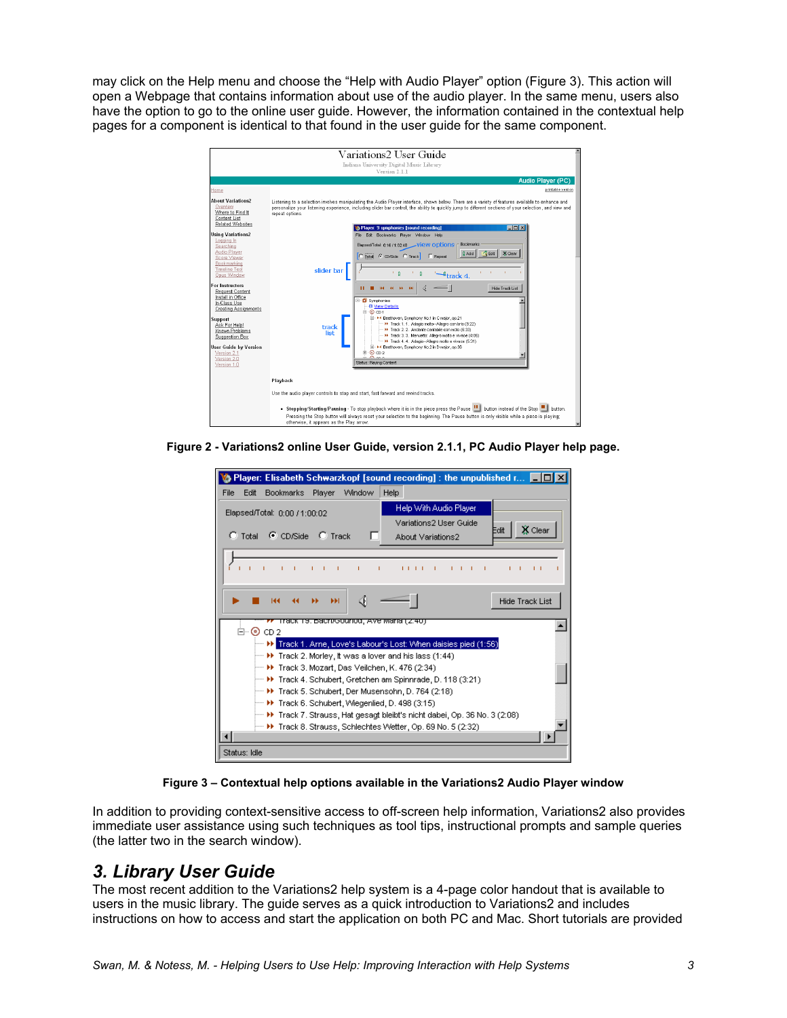may click on the Help menu and choose the "Help with Audio Player" option (Figure 3). This action will open a Webpage that contains information about use of the audio player. In the same menu, users also have the option to go to the online user guide. However, the information contained in the contextual help pages for a component is identical to that found in the user guide for the same component.



**Figure 2 - Variations2 online User Guide, version 2.1.1, PC Audio Player help page.** 

| Player: Elisabeth Schwarzkopf [sound recording] : the unpublished $r$ $\Box$                                                           |              |  |
|----------------------------------------------------------------------------------------------------------------------------------------|--------------|--|
| <b>Bookmarks</b><br>Window<br>Help<br>Edit<br>Player<br><b>File</b>                                                                    |              |  |
| Help With Audio Player<br>Elapsed/Total: 0:00 / 1:00:02<br>Variations2 User Guide                                                      |              |  |
| Edit<br>C Total C CD/Side C Track<br>About Variations2                                                                                 | X Clear      |  |
| $-1 - 1$<br>11111111<br>$\sim$ 1<br>$\sim$ 1<br>$\sim$ 1.<br><b>TELEVISION</b><br>$1 - 1$<br>- 1                                       | $\mathbf{L}$ |  |
| ∢<br><b>Hide Track List</b><br>ы                                                                                                       |              |  |
| Track T9. Bach/Gourlou, Ave Maria (2.40)<br>⊟-⊙ cp 2                                                                                   |              |  |
| <b>EXECUTE:</b> Frack 1. Arne, Love's Labour's Lost: When daisies pied (1:56)                                                          |              |  |
| $\vdash$ $\blacktriangleright$ Track 2. Morley, it was a lover and his lass (1:44)<br>→ H Track 3. Mozart, Das Veilchen, K. 476 (2:34) |              |  |
| →→ ▶ Track 4. Schubert, Gretchen am Spinnrade, D. 118 (3:21)                                                                           |              |  |
| → D Track 5. Schubert, Der Musensohn, D. 764 (2:18)<br>→→ ▶ Track 6. Schubert, Wiegenlied, D. 498 (3:15)                               |              |  |
| ├― ▶ Track 7. Strauss, Hat gesagt bleibt's nicht dabei, Op. 36 No. 3 (2:08)                                                            |              |  |
| ├─ ▶ Track 8. Strauss, Schlechtes Wetter, Op. 69 No. 5 (2:32)                                                                          |              |  |
| Status: Idle                                                                                                                           |              |  |

**Figure 3 – Contextual help options available in the Variations2 Audio Player window** 

In addition to providing context-sensitive access to off-screen help information, Variations2 also provides immediate user assistance using such techniques as tool tips, instructional prompts and sample queries (the latter two in the search window).

#### *3. Library User Guide*

The most recent addition to the Variations2 help system is a 4-page color handout that is available to users in the music library. The guide serves as a quick introduction to Variations2 and includes instructions on how to access and start the application on both PC and Mac. Short tutorials are provided